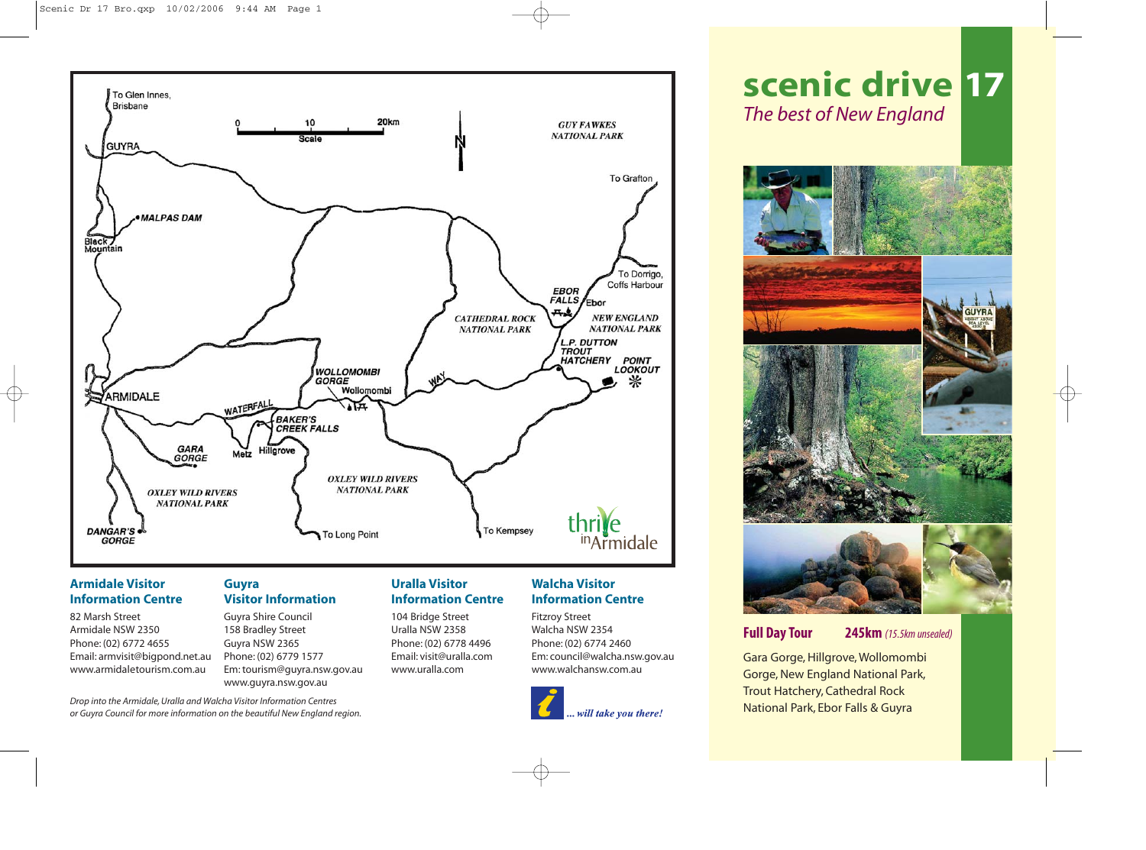

# **Armidale Visitor Information Centre**

82 Marsh Street Armidale NSW 2350 Phone: (02) 6772 4655 Email: armvisit@bigpond.net.au www.armidaletourism.com.au

*Drop into the Armidale, Uralla and Walcha Visitor Information Centres or Guyra Council for more information on the beautiful New England region.*

## **Guyra Visitor Information**

Guyra Shire Council 158 Bradley Street Guyra NSW 2365 Phone: (02) 6779 1577 Em: tourism@guyra.nsw.gov.au www.guyra.nsw.gov.au

## **Uralla Visitor Information Centre**

104 Bridge Street Uralla NSW 2358 Phone: (02) 6778 4496 Email: visit@uralla.com www.uralla.com

# **Walcha Visitor Information Centre**

Fitzroy Street Walcha NSW 2354 Phone: (02) 6774 2460 Em: council@walcha.nsw.gov.au www.walchansw.com.au



# **scenic drive 17** *The best of New England*



# **Full Day Tour 245km** *(15.5km unsealed)*

Gara Gorge, Hillgrove, Wollomombi Gorge, New England National Park, Trout Hatchery, Cathedral Rock National Park, Ebor Falls & Guyra